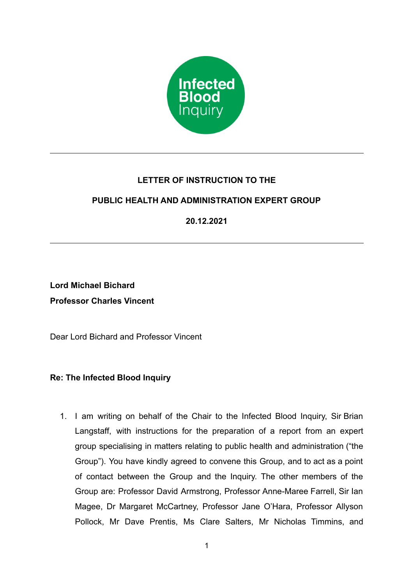

# **LETTER OF INSTRUCTION TO THE**

# **PUBLIC HEALTH AND ADMINISTRATION EXPERT GROUP**

**20.12.2021**

**Lord Michael Bichard Professor Charles Vincent**

Dear Lord Bichard and Professor Vincent

## **Re: The Infected Blood Inquiry**

1. I am writing on behalf of the Chair to the Infected Blood Inquiry, Sir Brian Langstaff, with instructions for the preparation of a report from an expert group specialising in matters relating to public health and administration ("the Group"). You have kindly agreed to convene this Group, and to act as a point of contact between the Group and the Inquiry. The other members of the Group are: Professor David Armstrong, Professor Anne-Maree Farrell, Sir Ian Magee, Dr Margaret McCartney, Professor Jane O'Hara, Professor Allyson Pollock, Mr Dave Prentis, Ms Clare Salters, Mr Nicholas Timmins, and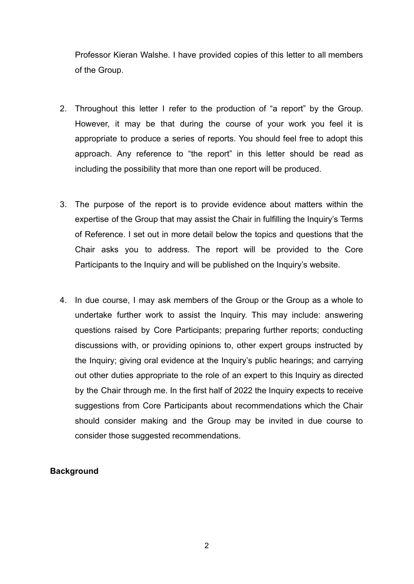Professor Kieran Walshe. I have provided copies of this letter to all members of the Group.

- 2. Throughout this letter I refer to the production of "a report" by the Group. However, it may be that during the course of your work you feel it is appropriate to produce a series of reports. You should feel free to adopt this approach. Any reference to "the report" in this letter should be read as including the possibility that more than one report will be produced.
- 3. The purpose of the report is to provide evidence about matters within the expertise of the Group that may assist the Chair in fulfilling the Inquiry's Terms of Reference. I set out in more detail below the topics and questions that the Chair asks you to address. The report will be provided to the Core Participants to the Inquiry and will be published on the Inquiry's website.
- 4. In due course, I may ask members of the Group or the Group as a whole to undertake further work to assist the Inquiry. This may include: answering questions raised by Core Participants; preparing further reports; conducting discussions with, or providing opinions to, other expert groups instructed by the Inquiry; giving oral evidence at the Inquiry's public hearings; and carrying out other duties appropriate to the role of an expert to this Inquiry as directed by the Chair through me. In the first half of 2022 the Inquiry expects to receive suggestions from Core Participants about recommendations which the Chair should consider making and the Group may be invited in due course to consider those suggested recommendations.

### **Background**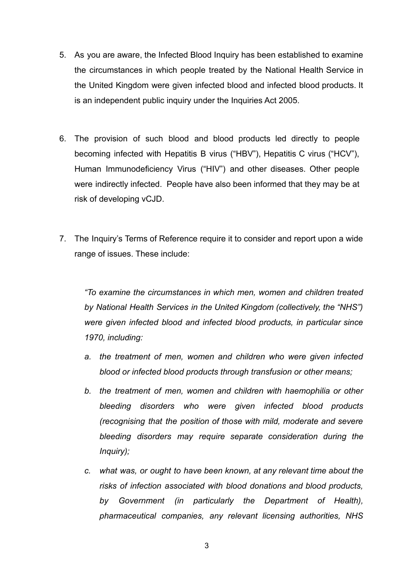- 5. As you are aware, the Infected Blood Inquiry has been established to examine the circumstances in which people treated by the National Health Service in the United Kingdom were given infected blood and infected blood products. It is an independent public inquiry under the Inquiries Act 2005.
- 6. The provision of such blood and blood products led directly to people becoming infected with Hepatitis B virus ("HBV"), Hepatitis C virus ("HCV"), Human Immunodeficiency Virus ("HIV") and other diseases. Other people were indirectly infected. People have also been informed that they may be at risk of developing vCJD.
- 7. The Inquiry's Terms of Reference require it to consider and report upon a wide range of issues. These include:

*"To examine the circumstances in which men, women and children treated by National Health Services in the United Kingdom (collectively, the "NHS") were given infected blood and infected blood products, in particular since 1970, including:*

- *a. the treatment of men, women and children who were given infected blood or infected blood products through transfusion or other means;*
- *b. the treatment of men, women and children with haemophilia or other bleeding disorders who were given infected blood products (recognising that the position of those with mild, moderate and severe bleeding disorders may require separate consideration during the Inquiry);*
- *c. what was, or ought to have been known, at any relevant time about the risks of infection associated with blood donations and blood products, by Government (in particularly the Department of Health), pharmaceutical companies, any relevant licensing authorities, NHS*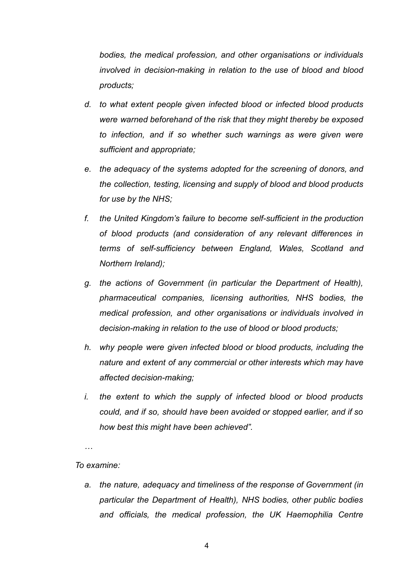*bodies, the medical profession, and other organisations or individuals involved in decision-making in relation to the use of blood and blood products;*

- *d. to what extent people given infected blood or infected blood products were warned beforehand of the risk that they might thereby be exposed to infection, and if so whether such warnings as were given were sufficient and appropriate;*
- *e. the adequacy of the systems adopted for the screening of donors, and the collection, testing, licensing and supply of blood and blood products for use by the NHS;*
- *f. the United Kingdom's failure to become self-sufficient in the production of blood products (and consideration of any relevant differences in terms of self-sufficiency between England, Wales, Scotland and Northern Ireland);*
- *g. the actions of Government (in particular the Department of Health), pharmaceutical companies, licensing authorities, NHS bodies, the medical profession, and other organisations or individuals involved in decision-making in relation to the use of blood or blood products;*
- *h. why people were given infected blood or blood products, including the nature and extent of any commercial or other interests which may have affected decision-making;*
- *i. the extent to which the supply of infected blood or blood products could, and if so, should have been avoided or stopped earlier, and if so how best this might have been achieved".*

*…*

#### *To examine:*

*a. the nature, adequacy and timeliness of the response of Government (in particular the Department of Health), NHS bodies, other public bodies and officials, the medical profession, the UK Haemophilia Centre*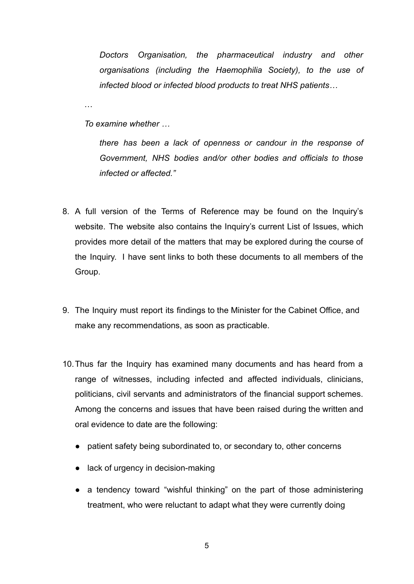*Doctors Organisation, the pharmaceutical industry and other organisations (including the Haemophilia Society), to the use of infected blood or infected blood products to treat NHS patients…*

*To examine whether …*

…

*there has been a lack of openness or candour in the response of Government, NHS bodies and/or other bodies and officials to those infected or affected."*

- 8. A full version of the Terms of Reference may be found on the Inquiry's website. The website also contains the Inquiry's current List of Issues, which provides more detail of the matters that may be explored during the course of the Inquiry. I have sent links to both these documents to all members of the Group.
- 9. The Inquiry must report its findings to the Minister for the Cabinet Office, and make any recommendations, as soon as practicable.
- 10.Thus far the Inquiry has examined many documents and has heard from a range of witnesses, including infected and affected individuals, clinicians, politicians, civil servants and administrators of the financial support schemes. Among the concerns and issues that have been raised during the written and oral evidence to date are the following:
	- patient safety being subordinated to, or secondary to, other concerns
	- lack of urgency in decision-making
	- a tendency toward "wishful thinking" on the part of those administering treatment, who were reluctant to adapt what they were currently doing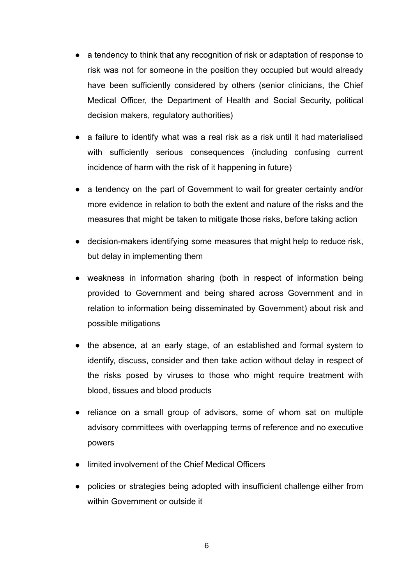- a tendency to think that any recognition of risk or adaptation of response to risk was not for someone in the position they occupied but would already have been sufficiently considered by others (senior clinicians, the Chief Medical Officer, the Department of Health and Social Security, political decision makers, regulatory authorities)
- a failure to identify what was a real risk as a risk until it had materialised with sufficiently serious consequences (including confusing current incidence of harm with the risk of it happening in future)
- a tendency on the part of Government to wait for greater certainty and/or more evidence in relation to both the extent and nature of the risks and the measures that might be taken to mitigate those risks, before taking action
- decision-makers identifying some measures that might help to reduce risk, but delay in implementing them
- weakness in information sharing (both in respect of information being provided to Government and being shared across Government and in relation to information being disseminated by Government) about risk and possible mitigations
- the absence, at an early stage, of an established and formal system to identify, discuss, consider and then take action without delay in respect of the risks posed by viruses to those who might require treatment with blood, tissues and blood products
- reliance on a small group of advisors, some of whom sat on multiple advisory committees with overlapping terms of reference and no executive powers
- limited involvement of the Chief Medical Officers
- policies or strategies being adopted with insufficient challenge either from within Government or outside it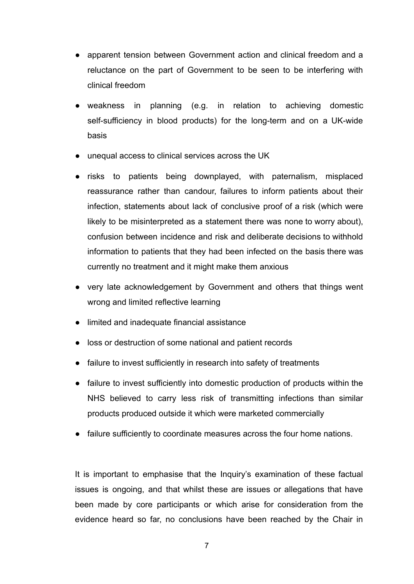- apparent tension between Government action and clinical freedom and a reluctance on the part of Government to be seen to be interfering with clinical freedom
- weakness in planning (e.g. in relation to achieving domestic self-sufficiency in blood products) for the long-term and on a UK-wide basis
- unequal access to clinical services across the UK
- risks to patients being downplayed, with paternalism, misplaced reassurance rather than candour, failures to inform patients about their infection, statements about lack of conclusive proof of a risk (which were likely to be misinterpreted as a statement there was none to worry about), confusion between incidence and risk and deliberate decisions to withhold information to patients that they had been infected on the basis there was currently no treatment and it might make them anxious
- very late acknowledgement by Government and others that things went wrong and limited reflective learning
- limited and inadequate financial assistance
- loss or destruction of some national and patient records
- failure to invest sufficiently in research into safety of treatments
- failure to invest sufficiently into domestic production of products within the NHS believed to carry less risk of transmitting infections than similar products produced outside it which were marketed commercially
- failure sufficiently to coordinate measures across the four home nations.

It is important to emphasise that the Inquiry's examination of these factual issues is ongoing, and that whilst these are issues or allegations that have been made by core participants or which arise for consideration from the evidence heard so far, no conclusions have been reached by the Chair in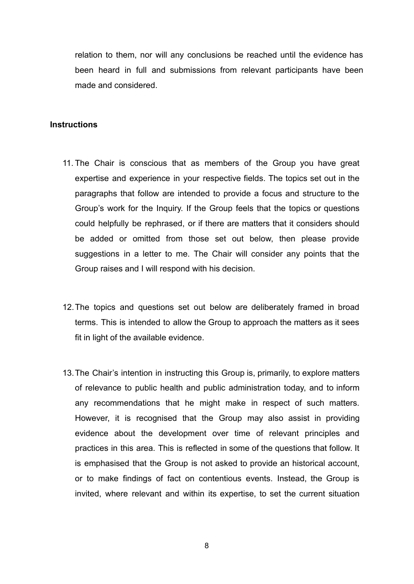relation to them, nor will any conclusions be reached until the evidence has been heard in full and submissions from relevant participants have been made and considered.

#### **Instructions**

- 11. The Chair is conscious that as members of the Group you have great expertise and experience in your respective fields. The topics set out in the paragraphs that follow are intended to provide a focus and structure to the Group's work for the Inquiry. If the Group feels that the topics or questions could helpfully be rephrased, or if there are matters that it considers should be added or omitted from those set out below, then please provide suggestions in a letter to me. The Chair will consider any points that the Group raises and I will respond with his decision.
- 12.The topics and questions set out below are deliberately framed in broad terms. This is intended to allow the Group to approach the matters as it sees fit in light of the available evidence.
- 13.The Chair's intention in instructing this Group is, primarily, to explore matters of relevance to public health and public administration today, and to inform any recommendations that he might make in respect of such matters. However, it is recognised that the Group may also assist in providing evidence about the development over time of relevant principles and practices in this area. This is reflected in some of the questions that follow. It is emphasised that the Group is not asked to provide an historical account, or to make findings of fact on contentious events. Instead, the Group is invited, where relevant and within its expertise, to set the current situation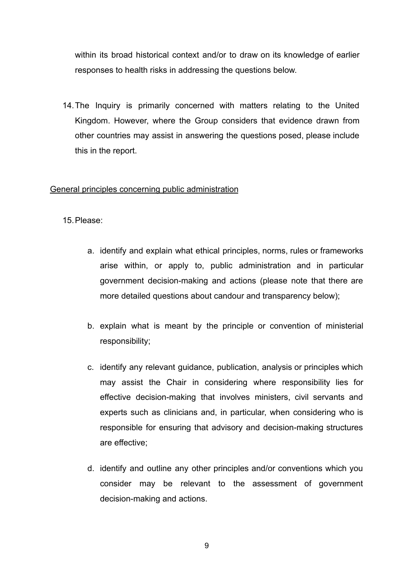within its broad historical context and/or to draw on its knowledge of earlier responses to health risks in addressing the questions below.

14.The Inquiry is primarily concerned with matters relating to the United Kingdom. However, where the Group considers that evidence drawn from other countries may assist in answering the questions posed, please include this in the report.

### General principles concerning public administration

15.Please:

- a. identify and explain what ethical principles, norms, rules or frameworks arise within, or apply to, public administration and in particular government decision-making and actions (please note that there are more detailed questions about candour and transparency below);
- b. explain what is meant by the principle or convention of ministerial responsibility;
- c. identify any relevant guidance, publication, analysis or principles which may assist the Chair in considering where responsibility lies for effective decision-making that involves ministers, civil servants and experts such as clinicians and, in particular, when considering who is responsible for ensuring that advisory and decision-making structures are effective;
- d. identify and outline any other principles and/or conventions which you consider may be relevant to the assessment of government decision-making and actions.

9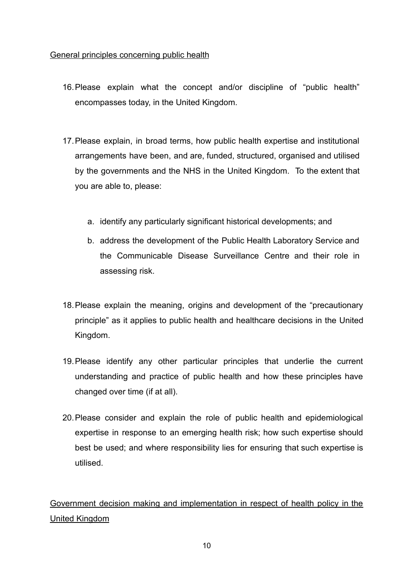### General principles concerning public health

- 16.Please explain what the concept and/or discipline of "public health" encompasses today, in the United Kingdom.
- 17.Please explain, in broad terms, how public health expertise and institutional arrangements have been, and are, funded, structured, organised and utilised by the governments and the NHS in the United Kingdom. To the extent that you are able to, please:
	- a. identify any particularly significant historical developments; and
	- b. address the development of the Public Health Laboratory Service and the Communicable Disease Surveillance Centre and their role in assessing risk.
- 18.Please explain the meaning, origins and development of the "precautionary principle" as it applies to public health and healthcare decisions in the United Kingdom.
- 19.Please identify any other particular principles that underlie the current understanding and practice of public health and how these principles have changed over time (if at all).
- 20.Please consider and explain the role of public health and epidemiological expertise in response to an emerging health risk; how such expertise should best be used; and where responsibility lies for ensuring that such expertise is utilised.

Government decision making and implementation in respect of health policy in the United Kingdom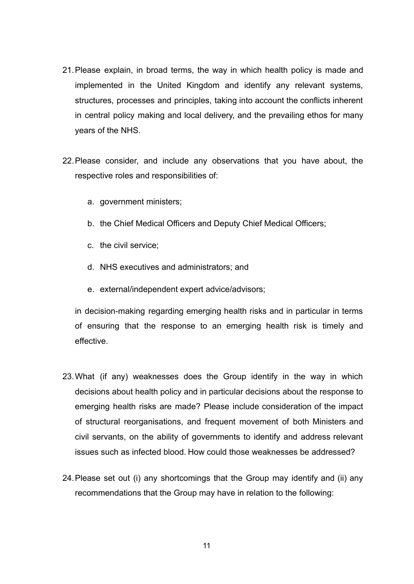- 21.Please explain, in broad terms, the way in which health policy is made and implemented in the United Kingdom and identify any relevant systems, structures, processes and principles, taking into account the conflicts inherent in central policy making and local delivery, and the prevailing ethos for many years of the NHS.
- 22.Please consider, and include any observations that you have about, the respective roles and responsibilities of:
	- a. government ministers;
	- b. the Chief Medical Officers and Deputy Chief Medical Officers;
	- c. the civil service;
	- d. NHS executives and administrators; and
	- e. external/independent expert advice/advisors;

in decision-making regarding emerging health risks and in particular in terms of ensuring that the response to an emerging health risk is timely and effective.

- 23.What (if any) weaknesses does the Group identify in the way in which decisions about health policy and in particular decisions about the response to emerging health risks are made? Please include consideration of the impact of structural reorganisations, and frequent movement of both Ministers and civil servants, on the ability of governments to identify and address relevant issues such as infected blood. How could those weaknesses be addressed?
- 24.Please set out (i) any shortcomings that the Group may identify and (ii) any recommendations that the Group may have in relation to the following: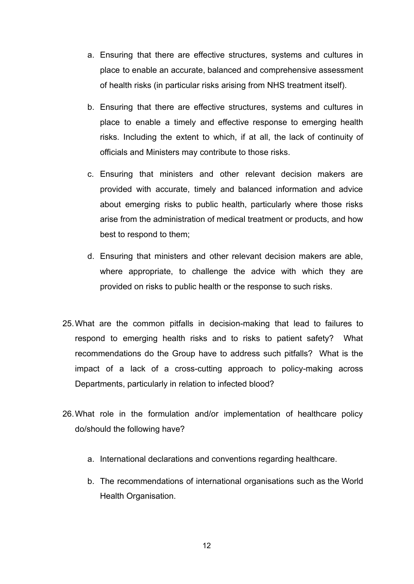- a. Ensuring that there are effective structures, systems and cultures in place to enable an accurate, balanced and comprehensive assessment of health risks (in particular risks arising from NHS treatment itself).
- b. Ensuring that there are effective structures, systems and cultures in place to enable a timely and effective response to emerging health risks. Including the extent to which, if at all, the lack of continuity of officials and Ministers may contribute to those risks.
- c. Ensuring that ministers and other relevant decision makers are provided with accurate, timely and balanced information and advice about emerging risks to public health, particularly where those risks arise from the administration of medical treatment or products, and how best to respond to them;
- d. Ensuring that ministers and other relevant decision makers are able, where appropriate, to challenge the advice with which they are provided on risks to public health or the response to such risks.
- 25.What are the common pitfalls in decision-making that lead to failures to respond to emerging health risks and to risks to patient safety? What recommendations do the Group have to address such pitfalls? What is the impact of a lack of a cross-cutting approach to policy-making across Departments, particularly in relation to infected blood?
- 26.What role in the formulation and/or implementation of healthcare policy do/should the following have?
	- a. International declarations and conventions regarding healthcare.
	- b. The recommendations of international organisations such as the World Health Organisation.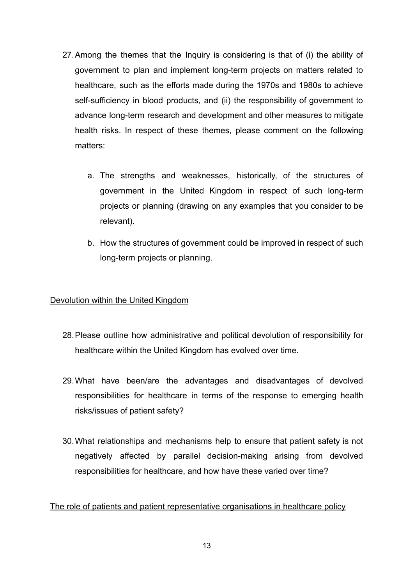- 27.Among the themes that the Inquiry is considering is that of (i) the ability of government to plan and implement long-term projects on matters related to healthcare, such as the efforts made during the 1970s and 1980s to achieve self-sufficiency in blood products, and (ii) the responsibility of government to advance long-term research and development and other measures to mitigate health risks. In respect of these themes, please comment on the following matters:
	- a. The strengths and weaknesses, historically, of the structures of government in the United Kingdom in respect of such long-term projects or planning (drawing on any examples that you consider to be relevant).
	- b. How the structures of government could be improved in respect of such long-term projects or planning.

### Devolution within the United Kingdom

- 28.Please outline how administrative and political devolution of responsibility for healthcare within the United Kingdom has evolved over time.
- 29.What have been/are the advantages and disadvantages of devolved responsibilities for healthcare in terms of the response to emerging health risks/issues of patient safety?
- 30.What relationships and mechanisms help to ensure that patient safety is not negatively affected by parallel decision-making arising from devolved responsibilities for healthcare, and how have these varied over time?

### The role of patients and patient representative organisations in healthcare policy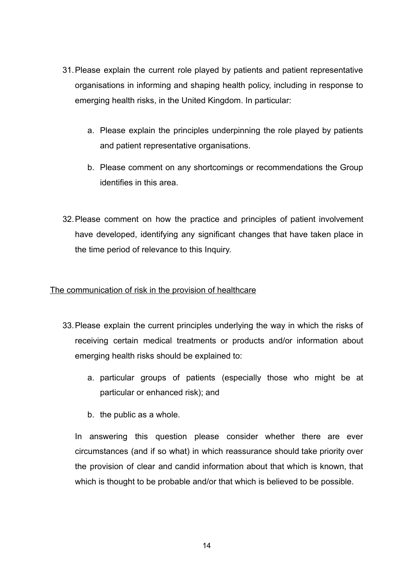- 31.Please explain the current role played by patients and patient representative organisations in informing and shaping health policy, including in response to emerging health risks, in the United Kingdom. In particular:
	- a. Please explain the principles underpinning the role played by patients and patient representative organisations.
	- b. Please comment on any shortcomings or recommendations the Group identifies in this area.
- 32.Please comment on how the practice and principles of patient involvement have developed, identifying any significant changes that have taken place in the time period of relevance to this Inquiry.

### The communication of risk in the provision of healthcare

- 33.Please explain the current principles underlying the way in which the risks of receiving certain medical treatments or products and/or information about emerging health risks should be explained to:
	- a. particular groups of patients (especially those who might be at particular or enhanced risk); and
	- b. the public as a whole.

In answering this question please consider whether there are ever circumstances (and if so what) in which reassurance should take priority over the provision of clear and candid information about that which is known, that which is thought to be probable and/or that which is believed to be possible.

14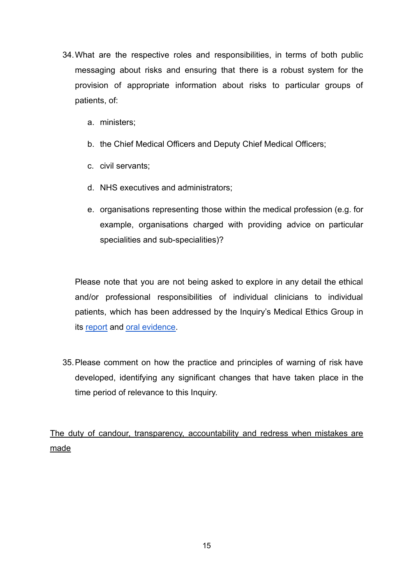- 34.What are the respective roles and responsibilities, in terms of both public messaging about risks and ensuring that there is a robust system for the provision of appropriate information about risks to particular groups of patients, of:
	- a. ministers;
	- b. the Chief Medical Officers and Deputy Chief Medical Officers;
	- c. civil servants;
	- d. NHS executives and administrators;
	- e. organisations representing those within the medical profession (e.g. for example, organisations charged with providing advice on particular specialities and sub-specialities)?

Please note that you are not being asked to explore in any detail the ethical and/or professional responsibilities of individual clinicians to individual patients, which has been addressed by the Inquiry's Medical Ethics Group in its [report](https://www.infectedbloodinquiry.org.uk/sites/default/files/documents/Medical%20Ethics%20Group%20Report.pdf) and [oral evidence.](https://www.infectedbloodinquiry.org.uk/evidence/expert-hearings-london-medical-ethics-experts-tuesday-27-january-2021)

35.Please comment on how the practice and principles of warning of risk have developed, identifying any significant changes that have taken place in the time period of relevance to this Inquiry.

The duty of candour, transparency, accountability and redress when mistakes are made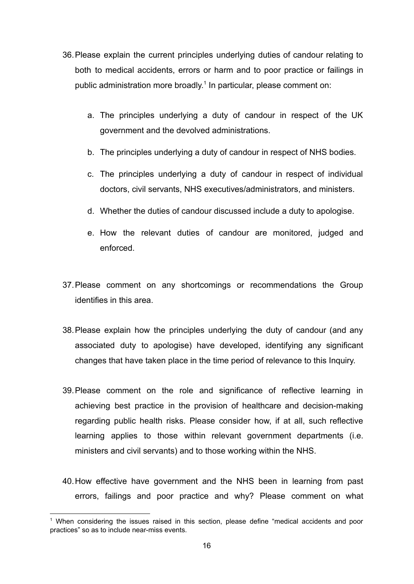- 36.Please explain the current principles underlying duties of candour relating to both to medical accidents, errors or harm and to poor practice or failings in public administration more broadly.<sup>1</sup> In particular, please comment on:
	- a. The principles underlying a duty of candour in respect of the UK government and the devolved administrations.
	- b. The principles underlying a duty of candour in respect of NHS bodies.
	- c. The principles underlying a duty of candour in respect of individual doctors, civil servants, NHS executives/administrators, and ministers.
	- d. Whether the duties of candour discussed include a duty to apologise.
	- e. How the relevant duties of candour are monitored, judged and enforced.
- 37.Please comment on any shortcomings or recommendations the Group identifies in this area.
- 38.Please explain how the principles underlying the duty of candour (and any associated duty to apologise) have developed, identifying any significant changes that have taken place in the time period of relevance to this Inquiry.
- 39.Please comment on the role and significance of reflective learning in achieving best practice in the provision of healthcare and decision-making regarding public health risks. Please consider how, if at all, such reflective learning applies to those within relevant government departments (i.e. ministers and civil servants) and to those working within the NHS.
- 40.How effective have government and the NHS been in learning from past errors, failings and poor practice and why? Please comment on what

<sup>&</sup>lt;sup>1</sup> When considering the issues raised in this section, please define "medical accidents and poor practices" so as to include near-miss events.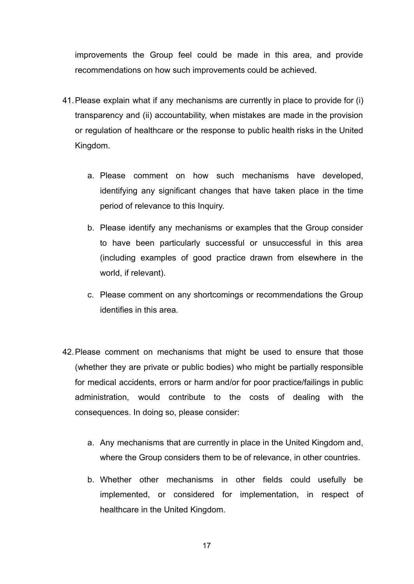improvements the Group feel could be made in this area, and provide recommendations on how such improvements could be achieved.

- 41.Please explain what if any mechanisms are currently in place to provide for (i) transparency and (ii) accountability, when mistakes are made in the provision or regulation of healthcare or the response to public health risks in the United Kingdom.
	- a. Please comment on how such mechanisms have developed, identifying any significant changes that have taken place in the time period of relevance to this Inquiry.
	- b. Please identify any mechanisms or examples that the Group consider to have been particularly successful or unsuccessful in this area (including examples of good practice drawn from elsewhere in the world, if relevant).
	- c. Please comment on any shortcomings or recommendations the Group identifies in this area.
- 42.Please comment on mechanisms that might be used to ensure that those (whether they are private or public bodies) who might be partially responsible for medical accidents, errors or harm and/or for poor practice/failings in public administration, would contribute to the costs of dealing with the consequences. In doing so, please consider:
	- a. Any mechanisms that are currently in place in the United Kingdom and, where the Group considers them to be of relevance, in other countries.
	- b. Whether other mechanisms in other fields could usefully be implemented, or considered for implementation, in respect of healthcare in the United Kingdom.

17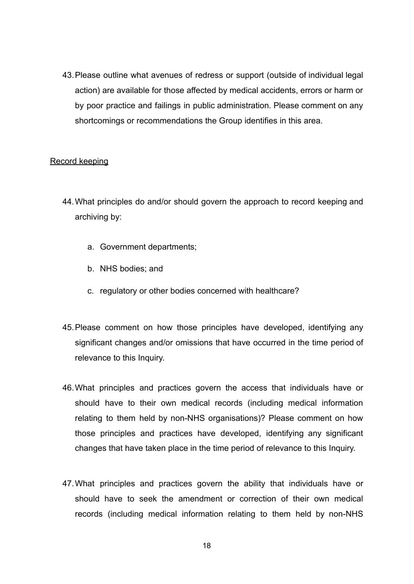43.Please outline what avenues of redress or support (outside of individual legal action) are available for those affected by medical accidents, errors or harm or by poor practice and failings in public administration. Please comment on any shortcomings or recommendations the Group identifies in this area.

### Record keeping

- 44.What principles do and/or should govern the approach to record keeping and archiving by:
	- a. Government departments;
	- b. NHS bodies; and
	- c. regulatory or other bodies concerned with healthcare?
- 45.Please comment on how those principles have developed, identifying any significant changes and/or omissions that have occurred in the time period of relevance to this Inquiry.
- 46.What principles and practices govern the access that individuals have or should have to their own medical records (including medical information relating to them held by non-NHS organisations)? Please comment on how those principles and practices have developed, identifying any significant changes that have taken place in the time period of relevance to this Inquiry.
- 47.What principles and practices govern the ability that individuals have or should have to seek the amendment or correction of their own medical records (including medical information relating to them held by non-NHS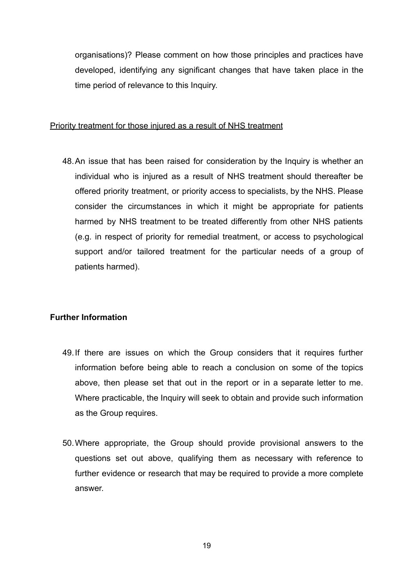organisations)? Please comment on how those principles and practices have developed, identifying any significant changes that have taken place in the time period of relevance to this Inquiry.

#### Priority treatment for those injured as a result of NHS treatment

48.An issue that has been raised for consideration by the Inquiry is whether an individual who is injured as a result of NHS treatment should thereafter be offered priority treatment, or priority access to specialists, by the NHS. Please consider the circumstances in which it might be appropriate for patients harmed by NHS treatment to be treated differently from other NHS patients (e.g. in respect of priority for remedial treatment, or access to psychological support and/or tailored treatment for the particular needs of a group of patients harmed).

#### **Further Information**

- 49.If there are issues on which the Group considers that it requires further information before being able to reach a conclusion on some of the topics above, then please set that out in the report or in a separate letter to me. Where practicable, the Inquiry will seek to obtain and provide such information as the Group requires.
- 50.Where appropriate, the Group should provide provisional answers to the questions set out above, qualifying them as necessary with reference to further evidence or research that may be required to provide a more complete answer.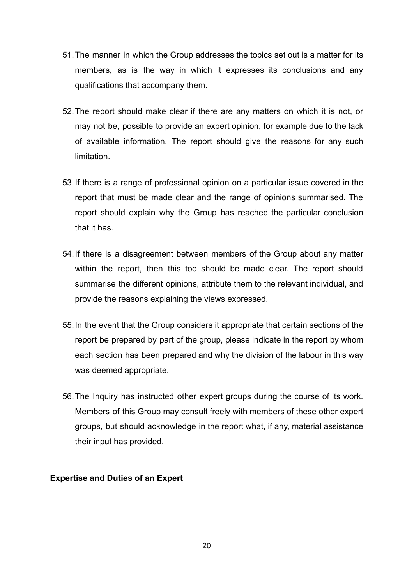- 51.The manner in which the Group addresses the topics set out is a matter for its members, as is the way in which it expresses its conclusions and any qualifications that accompany them.
- 52.The report should make clear if there are any matters on which it is not, or may not be, possible to provide an expert opinion, for example due to the lack of available information. The report should give the reasons for any such limitation.
- 53.If there is a range of professional opinion on a particular issue covered in the report that must be made clear and the range of opinions summarised. The report should explain why the Group has reached the particular conclusion that it has.
- 54.If there is a disagreement between members of the Group about any matter within the report, then this too should be made clear. The report should summarise the different opinions, attribute them to the relevant individual, and provide the reasons explaining the views expressed.
- 55.In the event that the Group considers it appropriate that certain sections of the report be prepared by part of the group, please indicate in the report by whom each section has been prepared and why the division of the labour in this way was deemed appropriate.
- 56.The Inquiry has instructed other expert groups during the course of its work. Members of this Group may consult freely with members of these other expert groups, but should acknowledge in the report what, if any, material assistance their input has provided.

#### **Expertise and Duties of an Expert**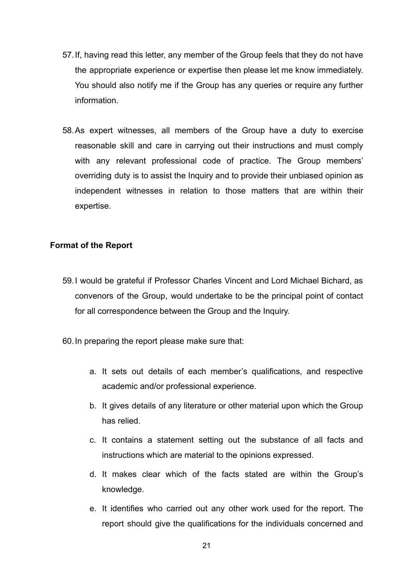- 57.If, having read this letter, any member of the Group feels that they do not have the appropriate experience or expertise then please let me know immediately. You should also notify me if the Group has any queries or require any further information.
- 58.As expert witnesses, all members of the Group have a duty to exercise reasonable skill and care in carrying out their instructions and must comply with any relevant professional code of practice. The Group members' overriding duty is to assist the Inquiry and to provide their unbiased opinion as independent witnesses in relation to those matters that are within their expertise.

### **Format of the Report**

- 59.I would be grateful if Professor Charles Vincent and Lord Michael Bichard, as convenors of the Group, would undertake to be the principal point of contact for all correspondence between the Group and the Inquiry.
- 60.In preparing the report please make sure that:
	- a. It sets out details of each member's qualifications, and respective academic and/or professional experience.
	- b. It gives details of any literature or other material upon which the Group has relied.
	- c. It contains a statement setting out the substance of all facts and instructions which are material to the opinions expressed.
	- d. It makes clear which of the facts stated are within the Group's knowledge.
	- e. It identifies who carried out any other work used for the report. The report should give the qualifications for the individuals concerned and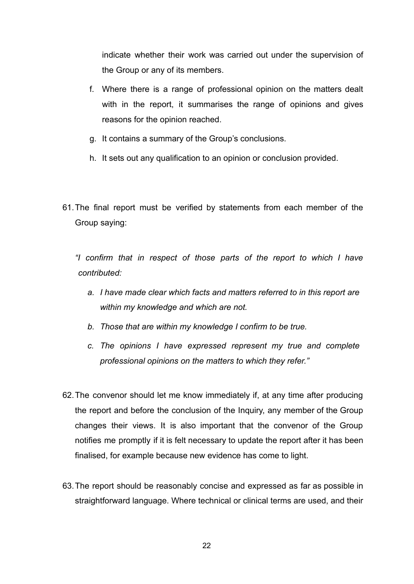indicate whether their work was carried out under the supervision of the Group or any of its members.

- f. Where there is a range of professional opinion on the matters dealt with in the report, it summarises the range of opinions and gives reasons for the opinion reached.
- g. It contains a summary of the Group's conclusions.
- h. It sets out any qualification to an opinion or conclusion provided.
- 61.The final report must be verified by statements from each member of the Group saying:

*"I confirm that in respect of those parts of the report to which I have contributed:*

- *a. I have made clear which facts and matters referred to in this report are within my knowledge and which are not.*
- *b. Those that are within my knowledge I confirm to be true.*
- *c. The opinions I have expressed represent my true and complete professional opinions on the matters to which they refer."*
- 62.The convenor should let me know immediately if, at any time after producing the report and before the conclusion of the Inquiry, any member of the Group changes their views. It is also important that the convenor of the Group notifies me promptly if it is felt necessary to update the report after it has been finalised, for example because new evidence has come to light.
- 63.The report should be reasonably concise and expressed as far as possible in straightforward language. Where technical or clinical terms are used, and their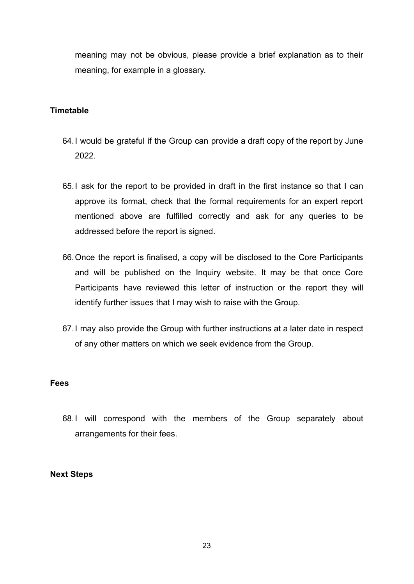meaning may not be obvious, please provide a brief explanation as to their meaning, for example in a glossary.

### **Timetable**

- 64.I would be grateful if the Group can provide a draft copy of the report by June 2022.
- 65.I ask for the report to be provided in draft in the first instance so that I can approve its format, check that the formal requirements for an expert report mentioned above are fulfilled correctly and ask for any queries to be addressed before the report is signed.
- 66.Once the report is finalised, a copy will be disclosed to the Core Participants and will be published on the Inquiry website. It may be that once Core Participants have reviewed this letter of instruction or the report they will identify further issues that I may wish to raise with the Group.
- 67.I may also provide the Group with further instructions at a later date in respect of any other matters on which we seek evidence from the Group.

#### **Fees**

68.I will correspond with the members of the Group separately about arrangements for their fees.

#### **Next Steps**